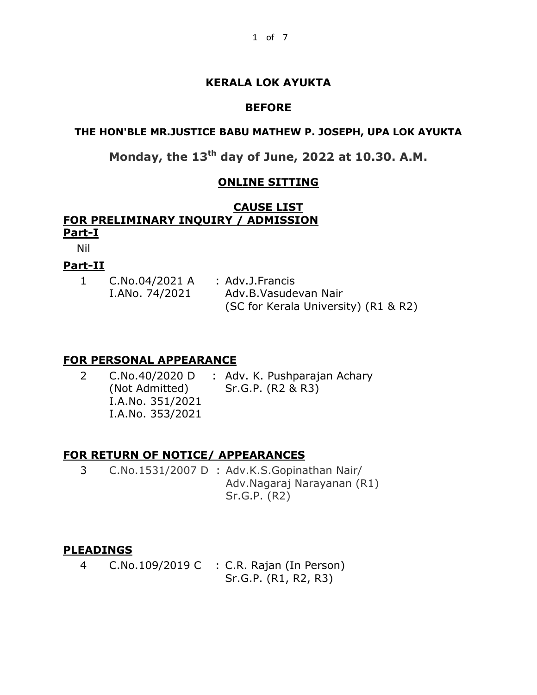## **KERALA LOK AYUKTA**

#### **BEFORE**

## **THE HON'BLE MR.JUSTICE BABU MATHEW P. JOSEPH, UPA LOK AYUKTA**

**Monday, the 13th day of June, 2022 at 10.30. A.M.**

## **ONLINE SITTING**

#### **CAUSE LIST FOR PRELIMINARY INQUIRY / ADMISSION Part-I**

Nil

#### **Part-II**

| C.No.04/2021 A | : Adv.J.Francis                      |
|----------------|--------------------------------------|
| I.ANo. 74/2021 | Adv.B.Vasudevan Nair                 |
|                | (SC for Kerala University) (R1 & R2) |

#### **FOR PERSONAL APPEARANCE**

| C.No.40/2020 D   | : Adv. K. Pushparajan Achary |
|------------------|------------------------------|
| (Not Admitted)   | Sr.G.P. (R2 & R3)            |
| I.A.No. 351/2021 |                              |
| I.A.No. 353/2021 |                              |

## **FOR RETURN OF NOTICE/ APPEARANCES**

3 C.No.1531/2007 D : Adv.K.S.Gopinathan Nair/ Adv.Nagaraj Narayanan (R1) Sr.G.P. (R2)

#### **PLEADINGS**

4 C.No.109/2019 C : C.R. Rajan (In Person) Sr.G.P. (R1, R2, R3)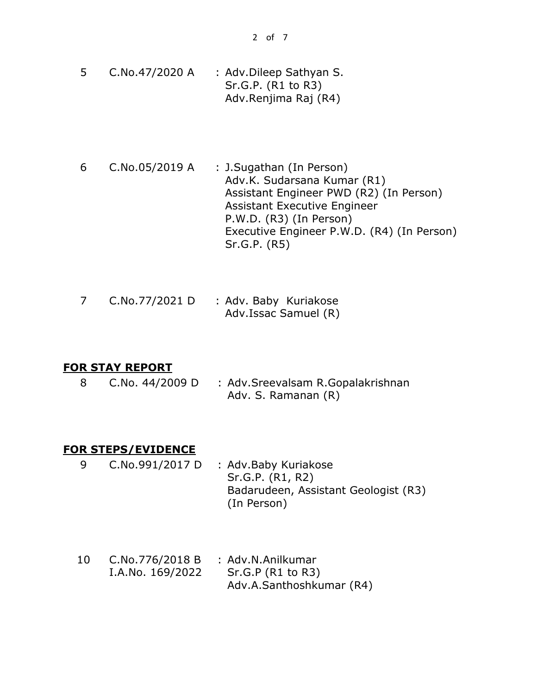- 5 C.No.47/2020 A : Adv.Dileep Sathyan S. Sr.G.P. (R1 to R3) Adv.Renjima Raj (R4)
- 6 C.No.05/2019 A : J.Sugathan (In Person) Adv.K. Sudarsana Kumar (R1) Assistant Engineer PWD (R2) (In Person) Assistant Executive Engineer P.W.D. (R3) (In Person) Executive Engineer P.W.D. (R4) (In Person) Sr.G.P. (R5)

|  | C.No.77/2021 D | : Adv. Baby Kuriakose |
|--|----------------|-----------------------|
|  |                | Adv.Issac Samuel (R)  |

#### **FOR STAY REPORT**

8 C.No. 44/2009 D : Adv.Sreevalsam R.Gopalakrishnan Adv. S. Ramanan (R)

#### **FOR STEPS/EVIDENCE**

- 9 C.No.991/2017 D : Adv.Baby Kuriakose Sr.G.P. (R1, R2) Badarudeen, Assistant Geologist (R3) (In Person)
- 10 C.No.776/2018 B I.A.No. 169/2022 : Adv.N.Anilkumar Sr.G.P (R1 to R3) Adv.A.Santhoshkumar (R4)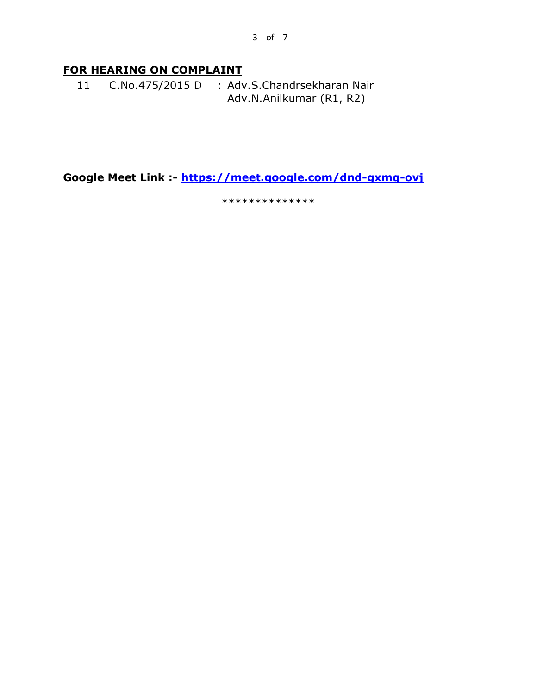## **FOR HEARING ON COMPLAINT**

11 C.No.475/2015 D : Adv.S.Chandrsekharan Nair Adv.N.Anilkumar (R1, R2)

**Google Meet Link :- <https://meet.google.com/dnd-gxmq-ovj>** 

\*\*\*\*\*\*\*\*\*\*\*\*\*\*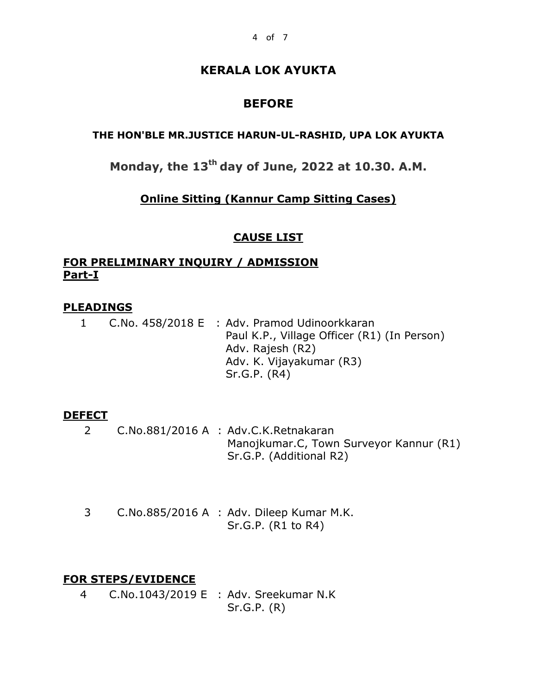## **KERALA LOK AYUKTA**

# **BEFORE**

#### **THE HON'BLE MR.JUSTICE HARUN-UL-RASHID, UPA LOK AYUKTA**

**Monday, the 13th day of June, 2022 at 10.30. A.M.**

## **Online Sitting (Kannur Camp Sitting Cases)**

## **CAUSE LIST**

## **FOR PRELIMINARY INQUIRY / ADMISSION Part-I**

## **PLEADINGS**

1 C.No. 458/2018 E : Adv. Pramod Udinoorkkaran Paul K.P., Village Officer (R1) (In Person) Adv. Rajesh (R2) Adv. K. Vijayakumar (R3) Sr.G.P. (R4)

## **DEFECT**

- 2 C.No.881/2016 A : Adv.C.K.Retnakaran Manojkumar.C, Town Surveyor Kannur (R1) Sr.G.P. (Additional R2)
- 3 C.No.885/2016 A : Adv. Dileep Kumar M.K. Sr.G.P. (R1 to R4)

## **FOR STEPS/EVIDENCE**

4 C.No.1043/2019 E : Adv. Sreekumar N.K Sr.G.P. (R)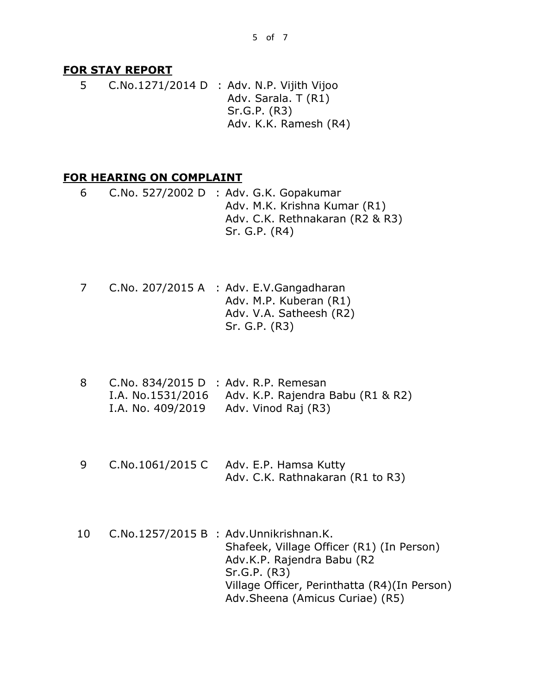#### **FOR STAY REPORT**

5 C.No.1271/2014 D : Adv. N.P. Vijith Vijoo Adv. Sarala. T (R1) Sr.G.P. (R3) Adv. K.K. Ramesh (R4)

#### **FOR HEARING ON COMPLAINT**

- 6 C.No. 527/2002 D : Adv. G.K. Gopakumar Adv. M.K. Krishna Kumar (R1) Adv. C.K. Rethnakaran (R2 & R3) Sr. G.P. (R4)
- 7 C.No. 207/2015 A : Adv. E.V.Gangadharan Adv. M.P. Kuberan (R1) Adv. V.A. Satheesh (R2) Sr. G.P. (R3)
- 8 C.No. 834/2015 D : Adv. R.P. Remesan I.A. No.1531/2016 Adv. K.P. Rajendra Babu (R1 & R2) I.A. No. 409/2019 Adv. Vinod Raj (R3)
- 9 C.No.1061/2015 C Adv. E.P. Hamsa Kutty Adv. C.K. Rathnakaran (R1 to R3)
- 10 C.No.1257/2015 B : Adv.Unnikrishnan.K. Shafeek, Village Officer (R1) (In Person) Adv.K.P. Rajendra Babu (R2 Sr.G.P. (R3) Village Officer, Perinthatta (R4)(In Person) Adv.Sheena (Amicus Curiae) (R5)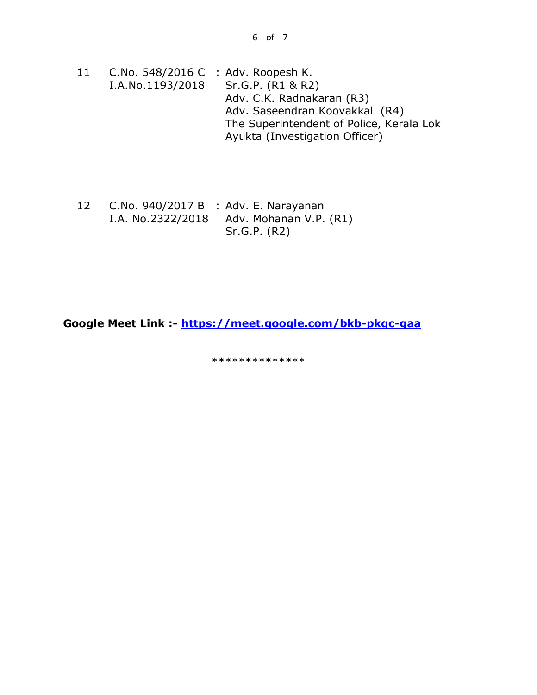- 11 C.No. 548/2016 C : Adv. Roopesh K. I.A.No.1193/2018 Sr.G.P. (R1 & R2) Adv. C.K. Radnakaran (R3) Adv. Saseendran Koovakkal (R4) The Superintendent of Police, Kerala Lok Ayukta (Investigation Officer)
- 12 C.No. 940/2017 B : Adv. E. Narayanan I.A. No.2322/2018 Adv. Mohanan V.P. (R1) Sr.G.P. (R2)

**Google Meet Link :- <https://meet.google.com/bkb-pkqc-gaa>**

\*\*\*\*\*\*\*\*\*\*\*\*\*\*